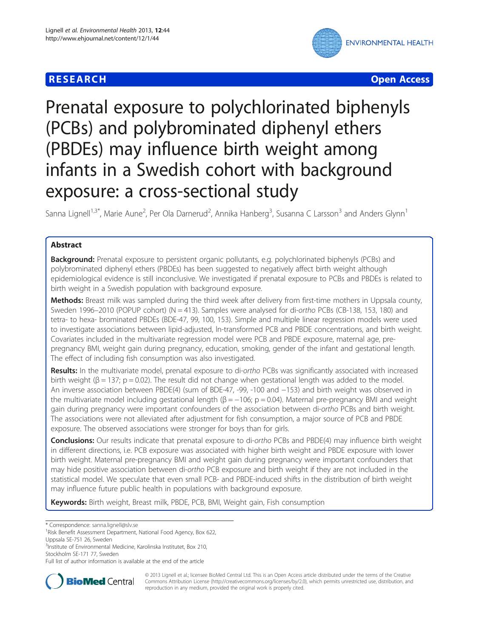## **RESEARCH CHE Open Access**



# Prenatal exposure to polychlorinated biphenyls (PCBs) and polybrominated diphenyl ethers (PBDEs) may influence birth weight among infants in a Swedish cohort with background exposure: a cross-sectional study

Sanna Lignell<sup>1,3\*</sup>, Marie Aune<sup>2</sup>, Per Ola Darnerud<sup>2</sup>, Annika Hanberg<sup>3</sup>, Susanna C Larsson<sup>3</sup> and Anders Glynn<sup>1</sup>

## Abstract

**Background:** Prenatal exposure to persistent organic pollutants, e.g. polychlorinated biphenyls (PCBs) and polybrominated diphenyl ethers (PBDEs) has been suggested to negatively affect birth weight although epidemiological evidence is still inconclusive. We investigated if prenatal exposure to PCBs and PBDEs is related to birth weight in a Swedish population with background exposure.

Methods: Breast milk was sampled during the third week after delivery from first-time mothers in Uppsala county, Sweden 1996–2010 (POPUP cohort) (N = 413). Samples were analysed for di-ortho PCBs (CB-138, 153, 180) and tetra- to hexa- brominated PBDEs (BDE-47, 99, 100, 153). Simple and multiple linear regression models were used to investigate associations between lipid-adjusted, ln-transformed PCB and PBDE concentrations, and birth weight. Covariates included in the multivariate regression model were PCB and PBDE exposure, maternal age, prepregnancy BMI, weight gain during pregnancy, education, smoking, gender of the infant and gestational length. The effect of including fish consumption was also investigated.

Results: In the multivariate model, prenatal exposure to di-ortho PCBs was significantly associated with increased birth weight (β = 137; p = 0.02). The result did not change when gestational length was added to the model. An inverse association between PBDE(4) (sum of BDE-47, -99, -100 and −153) and birth weight was observed in the multivariate model including gestational length ( $\beta = -106$ ; p = 0.04). Maternal pre-pregnancy BMI and weight gain during pregnancy were important confounders of the association between di-ortho PCBs and birth weight. The associations were not alleviated after adjustment for fish consumption, a major source of PCB and PBDE exposure. The observed associations were stronger for boys than for girls.

Conclusions: Our results indicate that prenatal exposure to di-ortho PCBs and PBDE(4) may influence birth weight in different directions, i.e. PCB exposure was associated with higher birth weight and PBDE exposure with lower birth weight. Maternal pre-pregnancy BMI and weight gain during pregnancy were important confounders that may hide positive association between di-ortho PCB exposure and birth weight if they are not included in the statistical model. We speculate that even small PCB- and PBDE-induced shifts in the distribution of birth weight may influence future public health in populations with background exposure.

Keywords: Birth weight, Breast milk, PBDE, PCB, BMI, Weight gain, Fish consumption

\* Correspondence: [sanna.lignell@slv.se](mailto:sanna.lignell@slv.se) <sup>1</sup>

3 Institute of Environmental Medicine, Karolinska Institutet, Box 210,

Full list of author information is available at the end of the article



© 2013 Lignell et al.; licensee BioMed Central Ltd. This is an Open Access article distributed under the terms of the Creative Commons Attribution License [\(http://creativecommons.org/licenses/by/2.0\)](http://creativecommons.org/licenses/by/2.0), which permits unrestricted use, distribution, and reproduction in any medium, provided the original work is properly cited.

<sup>&</sup>lt;sup>1</sup>Risk Benefit Assessment Department, National Food Agency, Box 622, Uppsala SE-751 26, Sweden

Stockholm SE-171 77, Sweden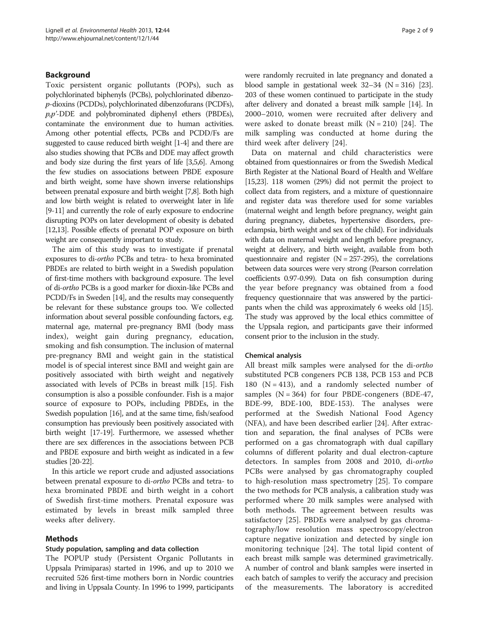## Background

Toxic persistent organic pollutants (POPs), such as polychlorinated biphenyls (PCBs), polychlorinated dibenzop-dioxins (PCDDs), polychlorinated dibenzofurans (PCDFs),  $p, p'$ -DDE and polybrominated diphenyl ethers (PBDEs), contaminate the environment due to human activities. Among other potential effects, PCBs and PCDD/Fs are suggested to cause reduced birth weight [[1](#page-7-0)-[4](#page-7-0)] and there are also studies showing that PCBs and DDE may affect growth and body size during the first years of life [\[3,5,6](#page-7-0)]. Among the few studies on associations between PBDE exposure and birth weight, some have shown inverse relationships between prenatal exposure and birth weight [\[7,8\]](#page-7-0). Both high and low birth weight is related to overweight later in life [[9](#page-7-0)-[11](#page-7-0)] and currently the role of early exposure to endocrine disrupting POPs on later development of obesity is debated [[12,13](#page-7-0)]. Possible effects of prenatal POP exposure on birth weight are consequently important to study.

The aim of this study was to investigate if prenatal exposures to di-ortho PCBs and tetra- to hexa brominated PBDEs are related to birth weight in a Swedish population of first-time mothers with background exposure. The level of di-ortho PCBs is a good marker for dioxin-like PCBs and PCDD/Fs in Sweden [\[14](#page-7-0)], and the results may consequently be relevant for these substance groups too. We collected information about several possible confounding factors, e.g. maternal age, maternal pre-pregnancy BMI (body mass index), weight gain during pregnancy, education, smoking and fish consumption. The inclusion of maternal pre-pregnancy BMI and weight gain in the statistical model is of special interest since BMI and weight gain are positively associated with birth weight and negatively associated with levels of PCBs in breast milk [[15](#page-7-0)]. Fish consumption is also a possible confounder. Fish is a major source of exposure to POPs, including PBDEs, in the Swedish population [\[16\]](#page-7-0), and at the same time, fish/seafood consumption has previously been positively associated with birth weight [\[17-19](#page-7-0)]. Furthermore, we assessed whether there are sex differences in the associations between PCB and PBDE exposure and birth weight as indicated in a few studies [\[20-22](#page-7-0)].

In this article we report crude and adjusted associations between prenatal exposure to di-ortho PCBs and tetra- to hexa brominated PBDE and birth weight in a cohort of Swedish first-time mothers. Prenatal exposure was estimated by levels in breast milk sampled three weeks after delivery.

## Methods

## Study population, sampling and data collection

The POPUP study (Persistent Organic Pollutants in Uppsala Primiparas) started in 1996, and up to 2010 we recruited 526 first-time mothers born in Nordic countries and living in Uppsala County. In 1996 to 1999, participants were randomly recruited in late pregnancy and donated a blood sample in gestational week  $32-34$  (N = 316) [\[23](#page-7-0)]. 203 of these women continued to participate in the study after delivery and donated a breast milk sample [\[14\]](#page-7-0). In 2000–2010, women were recruited after delivery and were asked to donate breast milk  $(N = 210)$  [\[24](#page-7-0)]. The milk sampling was conducted at home during the third week after delivery [\[24](#page-7-0)].

Data on maternal and child characteristics were obtained from questionnaires or from the Swedish Medical Birth Register at the National Board of Health and Welfare [[15,23\]](#page-7-0). 118 women (29%) did not permit the project to collect data from registers, and a mixture of questionnaire and register data was therefore used for some variables (maternal weight and length before pregnancy, weight gain during pregnancy, diabetes, hypertensive disorders, preeclampsia, birth weight and sex of the child). For individuals with data on maternal weight and length before pregnancy, weight at delivery, and birth weight, available from both questionnaire and register  $(N = 257-295)$ , the correlations between data sources were very strong (Pearson correlation coefficients 0.97-0.99). Data on fish consumption during the year before pregnancy was obtained from a food frequency questionnaire that was answered by the participants when the child was approximately 6 weeks old [\[15](#page-7-0)]. The study was approved by the local ethics committee of the Uppsala region, and participants gave their informed consent prior to the inclusion in the study.

## Chemical analysis

All breast milk samples were analysed for the di-ortho substituted PCB congeners PCB 138, PCB 153 and PCB 180 ( $N = 413$ ), and a randomly selected number of samples  $(N = 364)$  for four PBDE-congeners (BDE-47, BDE-99, BDE-100, BDE-153). The analyses were performed at the Swedish National Food Agency (NFA), and have been described earlier [\[24\]](#page-7-0). After extraction and separation, the final analyses of PCBs were performed on a gas chromatograph with dual capillary columns of different polarity and dual electron-capture detectors. In samples from 2008 and 2010, di-ortho PCBs were analysed by gas chromatography coupled to high-resolution mass spectrometry [\[25\]](#page-7-0). To compare the two methods for PCB analysis, a calibration study was performed where 20 milk samples were analysed with both methods. The agreement between results was satisfactory [[25\]](#page-7-0). PBDEs were analysed by gas chromatography/low resolution mass spectroscopy/electron capture negative ionization and detected by single ion monitoring technique [\[24\]](#page-7-0). The total lipid content of each breast milk sample was determined gravimetrically. A number of control and blank samples were inserted in each batch of samples to verify the accuracy and precision of the measurements. The laboratory is accredited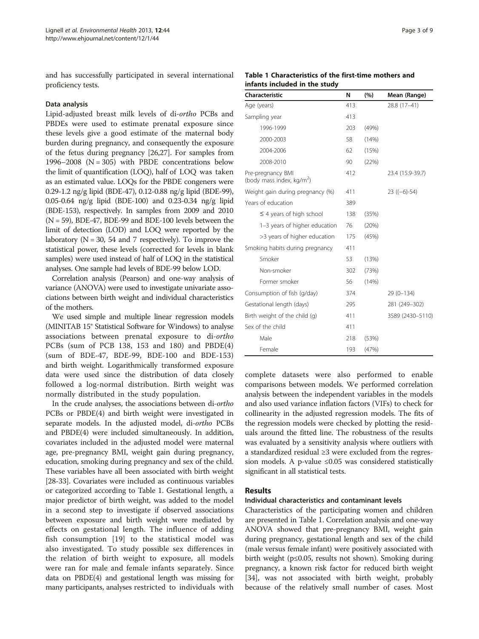and has successfully participated in several international proficiency tests.

#### Data analysis

Lipid-adjusted breast milk levels of di-ortho PCBs and PBDEs were used to estimate prenatal exposure since these levels give a good estimate of the maternal body burden during pregnancy, and consequently the exposure of the fetus during pregnancy [\[26,27](#page-7-0)]. For samples from 1996–2008 ( $N = 305$ ) with PBDE concentrations below the limit of quantification (LOQ), half of LOQ was taken as an estimated value. LOQs for the PBDE congeners were 0.29-1.2 ng/g lipid (BDE-47), 0.12-0.88 ng/g lipid (BDE-99), 0.05-0.64 ng/g lipid (BDE-100) and 0.23-0.34 ng/g lipid (BDE-153), respectively. In samples from 2009 and 2010 (N = 59), BDE-47, BDE-99 and BDE-100 levels between the limit of detection (LOD) and LOQ were reported by the laboratory ( $N = 30$ , 54 and 7 respectively). To improve the statistical power, these levels (corrected for levels in blank samples) were used instead of half of LOQ in the statistical analyses. One sample had levels of BDE-99 below LOD.

Correlation analysis (Pearson) and one-way analysis of variance (ANOVA) were used to investigate univariate associations between birth weight and individual characteristics of the mothers.

We used simple and multiple linear regression models (MINITAB 15® Statistical Software for Windows) to analyse associations between prenatal exposure to di-ortho PCBs (sum of PCB 138, 153 and 180) and PBDE(4) (sum of BDE-47, BDE-99, BDE-100 and BDE-153) and birth weight. Logarithmically transformed exposure data were used since the distribution of data closely followed a log-normal distribution. Birth weight was normally distributed in the study population.

In the crude analyses, the associations between di-ortho PCBs or PBDE(4) and birth weight were investigated in separate models. In the adjusted model, di-ortho PCBs and PBDE(4) were included simultaneously. In addition, covariates included in the adjusted model were maternal age, pre-pregnancy BMI, weight gain during pregnancy, education, smoking during pregnancy and sex of the child. These variables have all been associated with birth weight [[28](#page-7-0)-[33\]](#page-8-0). Covariates were included as continuous variables or categorized according to Table 1. Gestational length, a major predictor of birth weight, was added to the model in a second step to investigate if observed associations between exposure and birth weight were mediated by effects on gestational length. The influence of adding fish consumption [[19\]](#page-7-0) to the statistical model was also investigated. To study possible sex differences in the relation of birth weight to exposure, all models were ran for male and female infants separately. Since data on PBDE(4) and gestational length was missing for many participants, analyses restricted to individuals with

| ∽ane−<br>-5 | ΩŤ |  |
|-------------|----|--|
|-------------|----|--|

| Table 1 Characteristics of the first-time mothers and |  |  |
|-------------------------------------------------------|--|--|
| infants included in the study                         |  |  |

| Characteristic                                             | N   | (%)   | Mean (Range)     |
|------------------------------------------------------------|-----|-------|------------------|
| Age (years)                                                | 413 |       | 28.8 (17-41)     |
| Sampling year                                              | 413 |       |                  |
| 1996-1999                                                  | 203 | (49%) |                  |
| 2000-2003                                                  | 58  | (14%) |                  |
| 2004-2006                                                  | 62  | (15%) |                  |
| 2008-2010                                                  | 90  | (22%) |                  |
| Pre-pregnancy BMI<br>(body mass index, kg/m <sup>2</sup> ) | 412 |       | 23.4 (15.9-39.7) |
| Weight gain during pregnancy (%)                           | 411 |       | $23 ((-6)-54)$   |
| Years of education                                         | 389 |       |                  |
| $\leq$ 4 years of high school                              | 138 | (35%) |                  |
| 1-3 years of higher education                              | 76  | (20%) |                  |
| >3 years of higher education                               | 175 | (45%) |                  |
| Smoking habits during pregnancy                            | 411 |       |                  |
| Smoker                                                     | 53  | (13%) |                  |
| Non-smoker                                                 | 302 | (73%) |                  |
| Former smoker                                              | 56  | (14%) |                  |
| Consumption of fish (g/day)                                | 374 |       | $29(0-134)$      |
| Gestational length (days)                                  | 295 |       | 281 (249-302)    |
| Birth weight of the child (g)                              | 411 |       | 3589 (2430-5110) |
| Sex of the child                                           | 411 |       |                  |
| Male                                                       | 218 | (53%) |                  |
| Female                                                     | 193 | (47%) |                  |

complete datasets were also performed to enable comparisons between models. We performed correlation analysis between the independent variables in the models and also used variance inflation factors (VIFs) to check for collinearity in the adjusted regression models. The fits of the regression models were checked by plotting the residuals around the fitted line. The robustness of the results was evaluated by a sensitivity analysis where outliers with a standardized residual ≥3 were excluded from the regression models. A p-value ≤0.05 was considered statistically significant in all statistical tests.

#### Results

## Individual characteristics and contaminant levels

Characteristics of the participating women and children are presented in Table 1. Correlation analysis and one-way ANOVA showed that pre-pregnancy BMI, weight gain during pregnancy, gestational length and sex of the child (male versus female infant) were positively associated with birth weight (p≤0.05, results not shown). Smoking during pregnancy, a known risk factor for reduced birth weight [[34](#page-8-0)], was not associated with birth weight, probably because of the relatively small number of cases. Most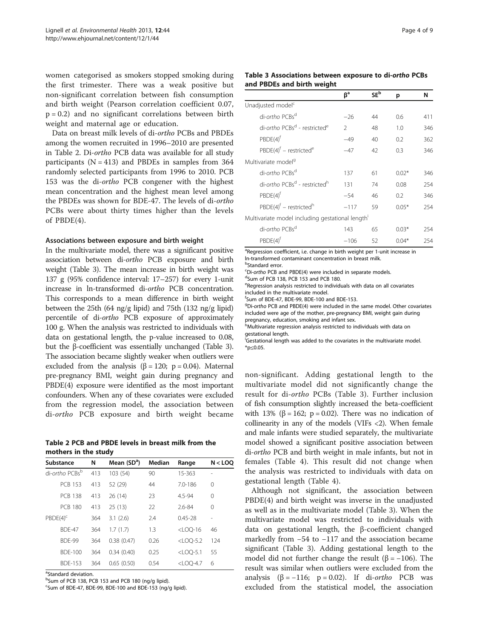<span id="page-3-0"></span>women categorised as smokers stopped smoking during the first trimester. There was a weak positive but non-significant correlation between fish consumption and birth weight (Pearson correlation coefficient 0.07,  $p = 0.2$ ) and no significant correlations between birth weight and maternal age or education.

Data on breast milk levels of di-ortho PCBs and PBDEs among the women recruited in 1996–2010 are presented in Table 2. Di-ortho PCB data was available for all study participants  $(N = 413)$  and PBDEs in samples from 364 randomly selected participants from 1996 to 2010. PCB 153 was the di-ortho PCB congener with the highest mean concentration and the highest mean level among the PBDEs was shown for BDE-47. The levels of di-ortho PCBs were about thirty times higher than the levels of PBDE(4).

#### Associations between exposure and birth weight

In the multivariate model, there was a significant positive association between di-ortho PCB exposure and birth weight (Table 3). The mean increase in birth weight was 137 g (95% confidence interval: 17–257) for every 1-unit increase in ln-transformed di-ortho PCB concentration. This corresponds to a mean difference in birth weight between the 25th (64 ng/g lipid) and 75th (132 ng/g lipid) percentile of di-ortho PCB exposure of approximately 100 g. When the analysis was restricted to individuals with data on gestational length, the p-value increased to 0.08, but the β-coefficient was essentially unchanged (Table 3). The association became slightly weaker when outliers were excluded from the analysis ( $\beta = 120$ ; p = 0.04). Maternal pre-pregnancy BMI, weight gain during pregnancy and PBDE(4) exposure were identified as the most important confounders. When any of these covariates were excluded from the regression model, the association between di-ortho PCB exposure and birth weight became

Table 2 PCB and PBDE levels in breast milk from the mothers in the study

| Substance                  | N   | Mean (SD <sup>a</sup> ) | Median | Range                                 | $N <$ LOO |
|----------------------------|-----|-------------------------|--------|---------------------------------------|-----------|
| di-ortho PCBs <sup>b</sup> | 413 | 103 (54)                | 90     | 15-363                                |           |
| <b>PCB 153</b>             | 413 | 52 (29)                 | 44     | $7.0 - 186$                           | 0         |
| <b>PCB 138</b>             | 413 | 26(14)                  | 23     | 4.5-94                                | 0         |
| <b>PCB 180</b>             | 413 | 25(13)                  | 22     | 2.6-84                                | 0         |
| $PBDE(4)^C$                | 364 | 3.1(2.6)                | 7.4    | $0.45 - 28$                           |           |
| BDF-47                     | 364 | 1.7(1.7)                | 1.3    | $<$ LOO-16                            | 46        |
| <b>BDF-99</b>              | 364 | 0.38(0.47)              | 0.26   | $<$ LOO-5.2                           | 124       |
| BDF-100                    | 364 | 0.34(0.40)              | 0.25   | $<$ LOQ-5.1                           | 55        |
| <b>BDF-153</b>             | 364 | 0.65(0.50)              | 0.54   | <loo-4.7< td=""><td>6</td></loo-4.7<> | 6         |

<sup>a</sup>Standard deviation.

<sup>b</sup>Sum of PCB 138, PCB 153 and PCB 180 (ng/g lipid).

<sup>c</sup>Sum of BDE-47, BDE-99, BDE-100 and BDE-153 (ng/g lipid).

#### Table 3 Associations between exposure to di-ortho PCBs and PBDEs and birth weight

|                                                              | $\beta^a$     | $\mathsf{SE}^{\mathsf{b}}$ | p       | N   |
|--------------------------------------------------------------|---------------|----------------------------|---------|-----|
| Unadjusted model <sup>c</sup>                                |               |                            |         |     |
| di-ortho PCBs <sup>d</sup>                                   | $-26$         | 44                         | 0.6     | 411 |
| di-ortho PCBs <sup>d</sup> - restricted <sup>e</sup>         | $\mathcal{P}$ | 48                         | 1.0     | 346 |
| PBDE(4) <sup>f</sup>                                         | $-49$         | 40                         | 0.2     | 362 |
| PBDE(4) <sup>f</sup> – restricted <sup>e</sup>               | $-47$         | 42                         | 0.3     | 346 |
| Multivariate model <sup>9</sup>                              |               |                            |         |     |
| di-ortho PCBs <sup>d</sup>                                   | 137           | 61                         | $0.02*$ | 346 |
| di-ortho PCBs <sup>d</sup> - restricted <sup>h</sup>         | 131           | 74                         | 0.08    | 254 |
| PBDE(4) <sup>f</sup>                                         | $-54$         | 46                         | 0.2     | 346 |
| PBDE(4) <sup>f</sup> – restricted <sup>h</sup>               | $-117$        | 59                         | $0.05*$ | 254 |
| Multivariate model including gestational length <sup>1</sup> |               |                            |         |     |
| di-ortho PCBs <sup>d</sup>                                   | 143           | 65                         | $0.03*$ | 254 |
| PBDE(4) <sup>f</sup>                                         | $-106$        | 52                         | $0.04*$ | 254 |

<sup>a</sup>Regression coefficient, i.e. change in birth weight per 1-unit increase in ln-transformed contaminant concentration in breast milk. b Standard error.

 $\frac{c_{\text{Di}-\text{ortho}}}{c_{\text{Sum}}}$  of PCB and PBDE(4) were included in separate models.

<sup>d</sup>Sum of PCB 138, PCB 153 and PCB 180.

eRegression analysis restricted to individuals with data on all covariates included in the multivariate model.

f Sum of BDE-47, BDE-99, BDE-100 and BDE-153.

<sup>9</sup>Di-ortho PCB and PBDE(4) were included in the same model. Other covariates included were age of the mother, pre-pregnancy BMI, weight gain during

pregnancy, education, smoking and infant sex.<br><sup>h</sup>Multivariate regression analysis restricted to individuals with data on gestational length.

i Gestational length was added to the covariates in the multivariate model. \*p≤0.05.

non-significant. Adding gestational length to the multivariate model did not significantly change the result for di-ortho PCBs (Table 3). Further inclusion of fish consumption slightly increased the beta-coefficient with 13% ( $β = 162$ ;  $p = 0.02$ ). There was no indication of collinearity in any of the models (VIFs  $\langle 2 \rangle$ ). When female and male infants were studied separately, the multivariate model showed a significant positive association between di-ortho PCB and birth weight in male infants, but not in females (Table [4](#page-4-0)). This result did not change when the analysis was restricted to individuals with data on gestational length (Table [4](#page-4-0)).

Although not significant, the association between PBDE(4) and birth weight was inverse in the unadjusted as well as in the multivariate model (Table 3). When the multivariate model was restricted to individuals with data on gestational length, the β-coefficient changed markedly from −54 to −117 and the association became significant (Table 3). Adding gestational length to the model did not further change the result (β =  $-106$ ). The result was similar when outliers were excluded from the analysis  $(\beta = -116; p = 0.02)$ . If di-*ortho* PCB was excluded from the statistical model, the association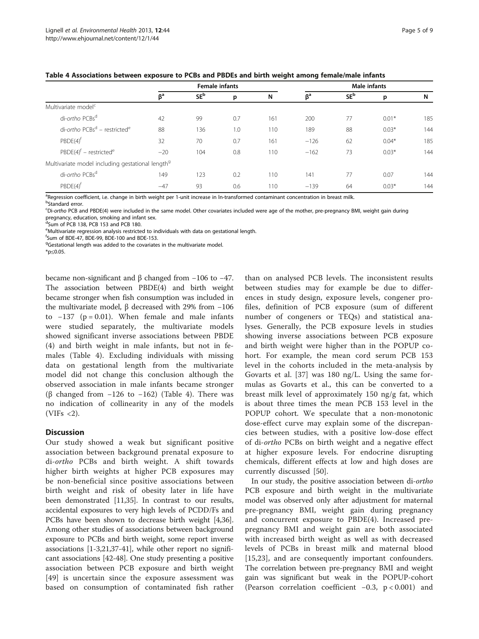|                                                              | <b>Female infants</b> |                        |     | <b>Male infants</b> |           |             |         |     |
|--------------------------------------------------------------|-----------------------|------------------------|-----|---------------------|-----------|-------------|---------|-----|
|                                                              | $\beta^a$             | <b>SE</b> <sup>b</sup> | p   | N                   | $\beta^a$ | <b>SE</b> b | p       | N   |
| Multivariate model <sup>c</sup>                              |                       |                        |     |                     |           |             |         |     |
| di-ortho PCBs <sup>d</sup>                                   | 42                    | 99                     | 0.7 | 161                 | 200       | 77          | $0.01*$ | 185 |
| $di$ -ortho PCBs <sup>d</sup> – restricted <sup>e</sup>      | 88                    | 136                    | 1.0 | 110                 | 189       | 88          | $0.03*$ | 144 |
| $PBDE(4)$ <sup>f</sup>                                       | 32                    | 70                     | 0.7 | 161                 | $-126$    | 62          | $0.04*$ | 185 |
| $PBDE(4)f - restrictede$                                     | $-20$                 | 104                    | 0.8 | 110                 | $-162$    | 73          | $0.03*$ | 144 |
| Multivariate model including gestational length <sup>g</sup> |                       |                        |     |                     |           |             |         |     |
| di-ortho PCBs <sup>d</sup>                                   | 149                   | 123                    | 0.2 | 110                 | 141       | 77          | 0.07    | 144 |
| $PBDE(4)$ <sup>†</sup>                                       | $-47$                 | 93                     | 0.6 | 110                 | $-139$    | 64          | $0.03*$ | 144 |

### <span id="page-4-0"></span>Table 4 Associations between exposure to PCBs and PBDEs and birth weight among female/male infants

<sup>a</sup>Regression coefficient, i.e. change in birth weight per 1-unit increase in In-transformed contaminant concentration in breast milk.

<sup>b</sup>Standard error.

c Di-ortho PCB and PBDE(4) were included in the same model. Other covariates included were age of the mother, pre-pregnancy BMI, weight gain during pregnancy, education, smoking and infant sex.

<sup>d</sup>Sum of PCB 138, PCB 153 and PCB 180.

<sup>e</sup>Multivariate regression analysis restricted to individuals with data on gestational length.

f Sum of BDE-47, BDE-99, BDE-100 and BDE-153.

<sup>g</sup>Gestational length was added to the covariates in the multivariate model.

\*p≤0.05.

became non-significant and β changed from −106 to −47. The association between PBDE(4) and birth weight became stronger when fish consumption was included in the multivariate model, β decreased with 29% from −106 to  $-137$  (p = 0.01). When female and male infants were studied separately, the multivariate models showed significant inverse associations between PBDE (4) and birth weight in male infants, but not in females (Table 4). Excluding individuals with missing data on gestational length from the multivariate model did not change this conclusion although the observed association in male infants became stronger ( $\beta$  changed from -126 to -162) (Table 4). There was no indication of collinearity in any of the models  $(VIFs < 2)$ .

## **Discussion**

Our study showed a weak but significant positive association between background prenatal exposure to di-ortho PCBs and birth weight. A shift towards higher birth weights at higher PCB exposures may be non-beneficial since positive associations between birth weight and risk of obesity later in life have been demonstrated [[11,](#page-7-0)[35](#page-8-0)]. In contrast to our results, accidental exposures to very high levels of PCDD/Fs and PCBs have been shown to decrease birth weight [[4,](#page-7-0)[36](#page-8-0)]. Among other studies of associations between background exposure to PCBs and birth weight, some report inverse associations [\[1](#page-7-0)-[3,21](#page-7-0)[,37-41\]](#page-8-0), while other report no significant associations [[42-48\]](#page-8-0). One study presenting a positive association between PCB exposure and birth weight [[49\]](#page-8-0) is uncertain since the exposure assessment was based on consumption of contaminated fish rather

than on analysed PCB levels. The inconsistent results between studies may for example be due to differences in study design, exposure levels, congener profiles, definition of PCB exposure (sum of different number of congeners or TEQs) and statistical analyses. Generally, the PCB exposure levels in studies showing inverse associations between PCB exposure and birth weight were higher than in the POPUP cohort. For example, the mean cord serum PCB 153 level in the cohorts included in the meta-analysis by Govarts et al. [\[37](#page-8-0)] was 180 ng/L. Using the same formulas as Govarts et al., this can be converted to a breast milk level of approximately 150 ng/g fat, which is about three times the mean PCB 153 level in the POPUP cohort. We speculate that a non-monotonic dose-effect curve may explain some of the discrepancies between studies, with a positive low-dose effect of di-ortho PCBs on birth weight and a negative effect at higher exposure levels. For endocrine disrupting chemicals, different effects at low and high doses are currently discussed [[50\]](#page-8-0).

In our study, the positive association between di-ortho PCB exposure and birth weight in the multivariate model was observed only after adjustment for maternal pre-pregnancy BMI, weight gain during pregnancy and concurrent exposure to PBDE(4). Increased prepregnancy BMI and weight gain are both associated with increased birth weight as well as with decreased levels of PCBs in breast milk and maternal blood [[15,23](#page-7-0)], and are consequently important confounders. The correlation between pre-pregnancy BMI and weight gain was significant but weak in the POPUP-cohort (Pearson correlation coefficient −0.3, p < 0.001) and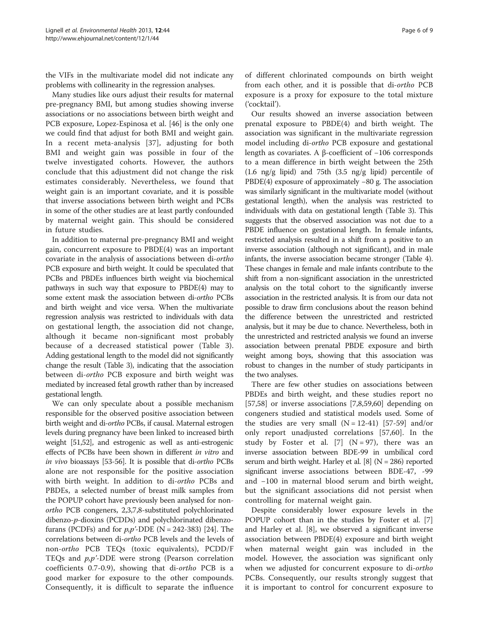the VIFs in the multivariate model did not indicate any problems with collinearity in the regression analyses.

Many studies like ours adjust their results for maternal pre-pregnancy BMI, but among studies showing inverse associations or no associations between birth weight and PCB exposure, Lopez-Espinosa et al. [\[46](#page-8-0)] is the only one we could find that adjust for both BMI and weight gain. In a recent meta-analysis [\[37\]](#page-8-0), adjusting for both BMI and weight gain was possible in four of the twelve investigated cohorts. However, the authors conclude that this adjustment did not change the risk estimates considerably. Nevertheless, we found that weight gain is an important covariate, and it is possible that inverse associations between birth weight and PCBs in some of the other studies are at least partly confounded by maternal weight gain. This should be considered in future studies.

In addition to maternal pre-pregnancy BMI and weight gain, concurrent exposure to PBDE(4) was an important covariate in the analysis of associations between di-ortho PCB exposure and birth weight. It could be speculated that PCBs and PBDEs influences birth weight via biochemical pathways in such way that exposure to PBDE(4) may to some extent mask the association between di-ortho PCBs and birth weight and vice versa. When the multivariate regression analysis was restricted to individuals with data on gestational length, the association did not change, although it became non-significant most probably because of a decreased statistical power (Table [3](#page-3-0)). Adding gestational length to the model did not significantly change the result (Table [3\)](#page-3-0), indicating that the association between di-ortho PCB exposure and birth weight was mediated by increased fetal growth rather than by increased gestational length.

We can only speculate about a possible mechanism responsible for the observed positive association between birth weight and di-ortho PCBs, if causal. Maternal estrogen levels during pregnancy have been linked to increased birth weight [[51,52](#page-8-0)], and estrogenic as well as anti-estrogenic effects of PCBs have been shown in different in vitro and in vivo bioassays [\[53](#page-8-0)-[56](#page-8-0)]. It is possible that di-ortho PCBs alone are not responsible for the positive association with birth weight. In addition to di-ortho PCBs and PBDEs, a selected number of breast milk samples from the POPUP cohort have previously been analysed for nonortho PCB congeners, 2,3,7,8-substituted polychlorinated dibenzo-p-dioxins (PCDDs) and polychlorinated dibenzofurans (PCDFs) and for  $p, p'$ -DDE (N = [24](#page-7-0)2-383) [24]. The correlations between di-ortho PCB levels and the levels of non-ortho PCB TEQs (toxic equivalents), PCDD/F TEQs and  $p, p'$ -DDE were strong (Pearson correlation coefficients 0.7-0.9), showing that di-ortho PCB is a good marker for exposure to the other compounds. Consequently, it is difficult to separate the influence

of different chlorinated compounds on birth weight from each other, and it is possible that di-ortho PCB exposure is a proxy for exposure to the total mixture ('cocktail').

Our results showed an inverse association between prenatal exposure to PBDE(4) and birth weight. The association was significant in the multivariate regression model including di-ortho PCB exposure and gestational length as covariates. A β-coefficient of −106 corresponds to a mean difference in birth weight between the 25th (1.6 ng/g lipid) and 75th (3.5 ng/g lipid) percentile of PBDE(4) exposure of approximately −80 g. The association was similarly significant in the multivariate model (without gestational length), when the analysis was restricted to individuals with data on gestational length (Table [3](#page-3-0)). This suggests that the observed association was not due to a PBDE influence on gestational length. In female infants, restricted analysis resulted in a shift from a positive to an inverse association (although not significant), and in male infants, the inverse association became stronger (Table [4](#page-4-0)). These changes in female and male infants contribute to the shift from a non-significant association in the unrestricted analysis on the total cohort to the significantly inverse association in the restricted analysis. It is from our data not possible to draw firm conclusions about the reason behind the difference between the unrestricted and restricted analysis, but it may be due to chance. Nevertheless, both in the unrestricted and restricted analysis we found an inverse association between prenatal PBDE exposure and birth weight among boys, showing that this association was robust to changes in the number of study participants in the two analyses.

There are few other studies on associations between PBDEs and birth weight, and these studies report no [[57,58\]](#page-8-0) or inverse associations [\[7,8](#page-7-0)[,59,60](#page-8-0)] depending on congeners studied and statistical models used. Some of the studies are very small  $(N = 12-41)$  [\[57](#page-8-0)-[59\]](#page-8-0) and/or only report unadjusted correlations [[57,60](#page-8-0)]. In the study by Foster et al.  $[7]$  $[7]$   $(N = 97)$ , there was an inverse association between BDE-99 in umbilical cord serum and birth weight. Harley et al.  $[8]$  $[8]$  (N = 286) reported significant inverse associations between BDE-47, -99 and −100 in maternal blood serum and birth weight, but the significant associations did not persist when controlling for maternal weight gain.

Despite considerably lower exposure levels in the POPUP cohort than in the studies by Foster et al. [\[7](#page-7-0)] and Harley et al. [[8\]](#page-7-0), we observed a significant inverse association between PBDE(4) exposure and birth weight when maternal weight gain was included in the model. However, the association was significant only when we adjusted for concurrent exposure to di-*ortho* PCBs. Consequently, our results strongly suggest that it is important to control for concurrent exposure to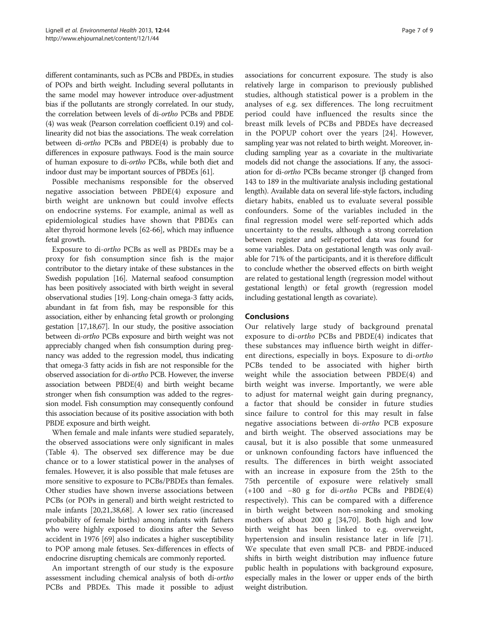different contaminants, such as PCBs and PBDEs, in studies of POPs and birth weight. Including several pollutants in the same model may however introduce over-adjustment bias if the pollutants are strongly correlated. In our study, the correlation between levels of di-ortho PCBs and PBDE (4) was weak (Pearson correlation coefficient 0.19) and collinearity did not bias the associations. The weak correlation between di-ortho PCBs and PBDE(4) is probably due to differences in exposure pathways. Food is the main source of human exposure to di-ortho PCBs, while both diet and indoor dust may be important sources of PBDEs [\[61](#page-8-0)].

Possible mechanisms responsible for the observed negative association between PBDE(4) exposure and birth weight are unknown but could involve effects on endocrine systems. For example, animal as well as epidemiological studies have shown that PBDEs can alter thyroid hormone levels [\[62](#page-8-0)-[66](#page-8-0)], which may influence fetal growth.

Exposure to di-ortho PCBs as well as PBDEs may be a proxy for fish consumption since fish is the major contributor to the dietary intake of these substances in the Swedish population [\[16](#page-7-0)]. Maternal seafood consumption has been positively associated with birth weight in several observational studies [\[19\]](#page-7-0). Long-chain omega-3 fatty acids, abundant in fat from fish, may be responsible for this association, either by enhancing fetal growth or prolonging gestation [[17,18,](#page-7-0)[67](#page-8-0)]. In our study, the positive association between di-ortho PCBs exposure and birth weight was not appreciably changed when fish consumption during pregnancy was added to the regression model, thus indicating that omega-3 fatty acids in fish are not responsible for the observed association for di-ortho PCB. However, the inverse association between PBDE(4) and birth weight became stronger when fish consumption was added to the regression model. Fish consumption may consequently confound this association because of its positive association with both PBDE exposure and birth weight.

When female and male infants were studied separately, the observed associations were only significant in males (Table [4](#page-4-0)). The observed sex difference may be due chance or to a lower statistical power in the analyses of females. However, it is also possible that male fetuses are more sensitive to exposure to PCBs/PBDEs than females. Other studies have shown inverse associations between PCBs (or POPs in general) and birth weight restricted to male infants [[20](#page-7-0),[21](#page-7-0)[,38,68](#page-8-0)]. A lower sex ratio (increased probability of female births) among infants with fathers who were highly exposed to dioxins after the Seveso accident in 1976 [[69](#page-8-0)] also indicates a higher susceptibility to POP among male fetuses. Sex-differences in effects of endocrine disrupting chemicals are commonly reported.

An important strength of our study is the exposure assessment including chemical analysis of both di-ortho PCBs and PBDEs. This made it possible to adjust

associations for concurrent exposure. The study is also relatively large in comparison to previously published studies, although statistical power is a problem in the analyses of e.g. sex differences. The long recruitment period could have influenced the results since the breast milk levels of PCBs and PBDEs have decreased in the POPUP cohort over the years [[24\]](#page-7-0). However, sampling year was not related to birth weight. Moreover, including sampling year as a covariate in the multivariate models did not change the associations. If any, the association for di-ortho PCBs became stronger (β changed from 143 to 189 in the multivariate analysis including gestational length). Available data on several life-style factors, including dietary habits, enabled us to evaluate several possible confounders. Some of the variables included in the final regression model were self-reported which adds uncertainty to the results, although a strong correlation between register and self-reported data was found for some variables. Data on gestational length was only available for 71% of the participants, and it is therefore difficult to conclude whether the observed effects on birth weight are related to gestational length (regression model without gestational length) or fetal growth (regression model including gestational length as covariate).

## Conclusions

Our relatively large study of background prenatal exposure to di-ortho PCBs and PBDE(4) indicates that these substances may influence birth weight in different directions, especially in boys. Exposure to di-ortho PCBs tended to be associated with higher birth weight while the association between PBDE(4) and birth weight was inverse. Importantly, we were able to adjust for maternal weight gain during pregnancy, a factor that should be consider in future studies since failure to control for this may result in false negative associations between di-ortho PCB exposure and birth weight. The observed associations may be causal, but it is also possible that some unmeasured or unknown confounding factors have influenced the results. The differences in birth weight associated with an increase in exposure from the 25th to the 75th percentile of exposure were relatively small (+100 and −80 g for di-ortho PCBs and PBDE(4) respectively). This can be compared with a difference in birth weight between non-smoking and smoking mothers of about 200 g [[34,70](#page-8-0)]. Both high and low birth weight has been linked to e.g. overweight, hypertension and insulin resistance later in life [\[71](#page-8-0)]. We speculate that even small PCB- and PBDE-induced shifts in birth weight distribution may influence future public health in populations with background exposure, especially males in the lower or upper ends of the birth weight distribution.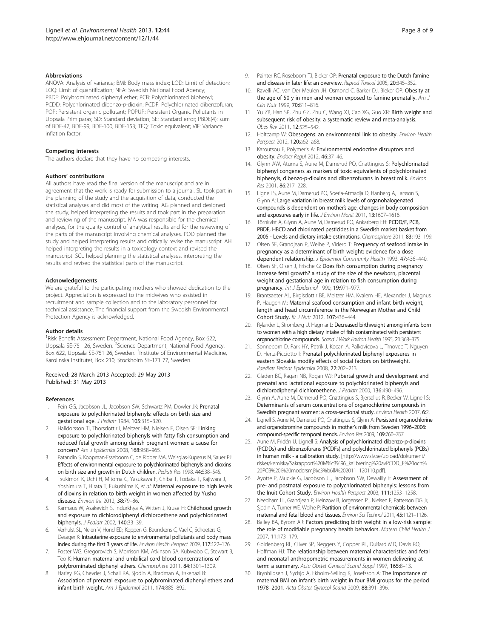#### <span id="page-7-0"></span>**Abbreviations**

ANOVA: Analysis of variance; BMI: Body mass index; LOD: Limit of detection; LOQ: Limit of quantification; NFA: Swedish National Food Agency; PBDE: Polybrominated diphenyl ether; PCB: Polychlorinated biphenyl; PCDD: Polychlorinated dibenzo-p-dioxin; PCDF: Polychlorinated dibenzofuran; POP: Persistent organic pollutant; POPUP: Persistent Organic Pollutants in Uppsala Primiparas; SD: Standard deviation; SE: Standard error; PBDE(4): sum of BDE-47, BDE-99, BDE-100, BDE-153; TEQ: Toxic equivalent; VIF: Variance inflation factor.

#### Competing interests

The authors declare that they have no competing interests.

#### Authors' contributions

All authors have read the final version of the manuscript and are in agreement that the work is ready for submission to a journal. SL took part in the planning of the study and the acquisition of data, conducted the statistical analyses and did most of the writing. AG planned and designed the study, helped interpreting the results and took part in the preparation and reviewing of the manuscript. MA was responsible for the chemical analyses, for the quality control of analytical results and for the reviewing of the parts of the manuscript involving chemical analyses. POD planned the study and helped interpreting results and critically revise the manuscript. AH helped interpreting the results in a toxicology context and revised the manuscript. SCL helped planning the statistical analyses, interpreting the results and revised the statistical parts of the manuscript.

#### Acknowledgements

We are grateful to the participating mothers who showed dedication to the project. Appreciation is expressed to the midwives who assisted in recruitment and sample collection and to the laboratory personnel for technical assistance. The financial support from the Swedish Environmental Protection Agency is acknowledged.

#### Author details

<sup>1</sup>Risk Benefit Assessment Department, National Food Agency, Box 622, Uppsala SE-751 26, Sweden. <sup>2</sup>Science Department, National Food Agency, Box 622, Uppsala SE-751 26, Sweden. <sup>3</sup>Institute of Environmental Medicine, Karolinska Institutet, Box 210, Stockholm SE-171 77, Sweden.

#### Received: 28 March 2013 Accepted: 29 May 2013 Published: 31 May 2013

#### References

- Fein GG, Jacobson JL, Jacobson SW, Schwartz PM, Dowler JK: Prenatal exposure to polychlorinated biphenyls: effects on birth size and gestational age. J Pediatr 1984, 105:315–320.
- Halldorsson TI, Thorsdottir I, Meltzer HM, Nielsen F, Olsen SF: Linking exposure to polychlorinated biphenyls with fatty fish consumption and reduced fetal growth among danish pregnant women: a cause for concern? Am J Epidemiol 2008, 168:958-965.
- 3. Patandin S, Koopman-Esseboom C, de Ridder MA, Weisglas-Kuperus N, Sauer PJ: Effects of environmental exposure to polychlorinated biphenyls and dioxins on birth size and growth in Dutch children. Pediatr Res 1998, 44:538–545.
- 4. Tsukimori K, Uchi H, Mitoma C, Yasukawa F, Chiba T, Todaka T, Kajiwara J, Yoshimura T, Hirata T, Fukushima K, et al: Maternal exposure to high levels of dioxins in relation to birth weight in women affected by Yusho disease. Environ Int 2012, 38:79–86.
- 5. Karmaus W, Asakevich S, Indurkhya A, Witten J, Kruse H: Childhood growth and exposure to dichlorodiphenyl dichloroethene and polychlorinated biphenyls. J Pediatr 2002, 140:33–39.
- 6. Verhulst SL, Nelen V, Hond ED, Koppen G, Beunckens C, Vael C, Schoeters G, Desager K: Intrauterine exposure to environmental pollutants and body mass index during the first 3 years of life. Environ Health Perspect 2009, 117:122–126.
- 7. Foster WG, Gregorovich S, Morrison KM, Atkinson SA, Kubwabo C, Stewart B, Teo K: Human maternal and umbilical cord blood concentrations of polybrominated diphenyl ethers. Chemosphere 2011, 84:1301–1309.
- Harley KG, Chevrier J, Schall RA, Sjodin A, Bradman A, Eskenazi B: Association of prenatal exposure to polybrominated diphenyl ethers and infant birth weight. Am J Epidemiol 2011, 174:885–892.
- 9. Painter RC, Roseboom TJ, Bleker OP: Prenatal exposure to the Dutch famine and disease in later life: an overview. Reprod Toxicol 2005, 20:345–352.
- 10. Ravelli AC, van Der Meulen JH, Osmond C, Barker DJ, Bleker OP: Obesity at the age of 50 y in men and women exposed to famine prenatally. Am J Clin Nutr 1999, 70:811–816.
- 11. Yu ZB, Han SP, Zhu GZ, Zhu C, Wang XJ, Cao XG, Guo XR: Birth weight and subsequent risk of obesity: a systematic review and meta-analysis. Obes Rev 2011, 12:525–542.
- 12. Holtcamp W: Obesogens: an environmental link to obesity. Environ Health Perspect 2012, 120:a62–a68.
- 13. Karoutsou E, Polymeris A: Environmental endocrine disruptors and obesity. Endocr Regul 2012, 46:37–46.
- 14. Glynn AW, Atuma S, Aune M, Darnerud PO, Cnattingius S: Polychlorinated biphenyl congeners as markers of toxic equivalents of polychlorinated biphenyls, dibenzo-p-dioxins and dibenzofurans in breast milk. Environ Res 2001, 86:217–228.
- 15. Lignell S, Aune M, Darnerud PO, Soeria-Atmadja D, Hanberg A, Larsson S, Glynn A: Large variation in breast milk levels of organohalogenated compounds is dependent on mother's age, changes in body composition and exposures early in life. J Environ Monit 2011, 13:1607-1616.
- 16. Törnkvist A, Glynn A, Aune M, Darnerud PO, Ankarberg EH: PCDD/F, PCB, PBDE, HBCD and chlorinated pesticides in a Swedish market basket from 2005 - Levels and dietary intake estimations. Chemosphere 2011, 83:193–199.
- 17. Olsen SF, Grandjean P, Weihe P, Videro T: Frequency of seafood intake in pregnancy as a determinant of birth weight: evidence for a dose dependent relationship. J Epidemiol Community Health 1993, 47:436-440.
- 18. Olsen SF, Olsen J, Frische G: Does fish consumption during pregnancy increase fetal growth? a study of the size of the newborn, placental weight and gestational age in relation to fish consumption during pregnancy. Int J Epidemiol 1990, 19:971-977.
- 19. Brantsaeter AL, Birgisdottir BE, Meltzer HM, Kvalem HE, Alexander J, Magnus P, Haugen M: Maternal seafood consumption and infant birth weight, length and head circumference in the Norwegian Mother and Child Cohort Study. Br J Nutr 2012, 107:436–444.
- 20. Rylander L, Stromberg U, Hagmar L: Decreased birthweight among infants born to women with a high dietary intake of fish contaminated with persistent organochlorine compounds. Scand J Work Environ Health 1995, 21:368-375.
- 21. Sonneborn D, Park HY, Petrik J, Kocan A, Palkovicova L, Trnovec T, Nguyen D, Hertz-Picciotto I: Prenatal polychlorinated biphenyl exposures in eastern Slovakia modify effects of social factors on birthweight. Paediatr Perinat Epidemiol 2008, 22:202–213.
- 22. Gladen BC, Ragan NB, Rogan WJ: Pubertal growth and development and prenatal and lactational exposure to polychlorinated biphenyls and dichlorodiphenyl dichloroethene. J Pediatr 2000, 136:490–496.
- 23. Glynn A, Aune M, Darnerud PO, Cnattingius S, Bjerselius R, Becker W, Lignell S: Determinants of serum concentrations of organochlorine compounds in Swedish pregnant women: a cross-sectional study. Environ Health 2007, 6:2.
- 24. Lignell S, Aune M, Damerud PO, Cnattingius S, Glynn A: Persistent organochlorine and organobromine compounds in mother's milk from Sweden 1996–2006: compound-specific temporal trends. Environ Res 2009, 109:760–767.
- 25. Aune M, Fridén U, Lignell S: Analysis of polychlorinated dibenzo-p-dioxins (PCDDs) and dibenzofurans (PCDFs) and polychlorinated biphenyls (PCBs) in human milk - a calibration study. [\[http://www.slv.se/upload/dokument/](http://www.slv.se/upload/dokument/risker/kemiska/Sakrapport%20M%c3%96_kalibrering%20avPCDD_F%20och%20PCB%20i%20modersmj%c3%b6lk%202011_120110.pdf) [risker/kemiska/Sakrapport%20M%c3%96\\_kalibrering%20avPCDD\\_F%20och%](http://www.slv.se/upload/dokument/risker/kemiska/Sakrapport%20M%c3%96_kalibrering%20avPCDD_F%20och%20PCB%20i%20modersmj%c3%b6lk%202011_120110.pdf) [20PCB%20i%20modersmj%c3%b6lk%202011\\_120110.pdf\]](http://www.slv.se/upload/dokument/risker/kemiska/Sakrapport%20M%c3%96_kalibrering%20avPCDD_F%20och%20PCB%20i%20modersmj%c3%b6lk%202011_120110.pdf).
- 26. Ayotte P, Muckle G, Jacobson JL, Jacobson SW, Dewailly E: Assessment of pre- and postnatal exposure to polychlorinated biphenyls: lessons from the Inuit Cohort Study. Environ Health Perspect 2003, 111:1253–1258.
- 27. Needham LL, Grandjean P, Heinzow B, Jorgensen PJ, Nielsen F, Patterson DG Jr, Sjodin A, Turner WE, Weihe P: Partition of environmental chemicals between maternal and fetal blood and tissues. Environ Sci Technol 2011, 45:1121-1126.
- 28. Bailey BA, Byrom AR: Factors predicting birth weight in a low-risk sample: the role of modifiable pregnancy health behaviors. Matern Child Health J 2007, 11:173–179.
- 29. Goldenberg RL, Cliver SP, Neggers Y, Copper RL, DuBard MD, Davis RO, Hoffman HJ: The relationship between maternal characteristics and fetal and neonatal anthropometric measurements in women delivering at term: a summary. Acta Obstet Gynecol Scand Suppl 1997, 165:8-13.
- 30. Brynhildsen J, Sydsjo A, Ekholm-Selling K, Josefsson A: The importance of maternal BMI on infant's birth weight in four BMI groups for the period 1978–2001. Acta Obstet Gynecol Scand 2009, 88:391–396.